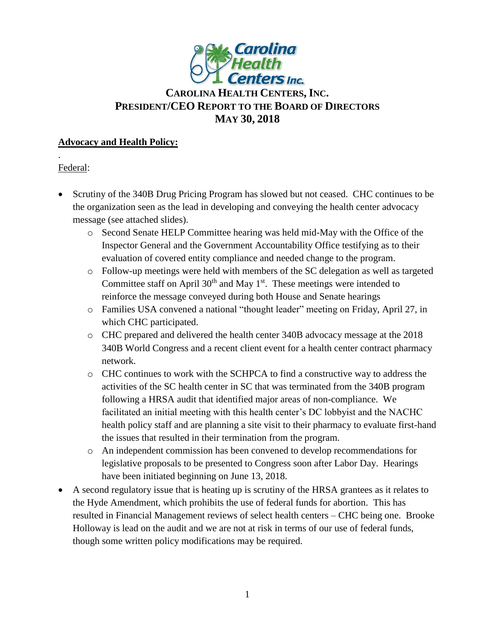

# **CAROLINA HEALTH CENTERS,INC. PRESIDENT/CEO REPORT TO THE BOARD OF DIRECTORS MAY 30, 2018**

### **Advocacy and Health Policy:**

Federal:

.

- Scrutiny of the 340B Drug Pricing Program has slowed but not ceased. CHC continues to be the organization seen as the lead in developing and conveying the health center advocacy message (see attached slides).
	- o Second Senate HELP Committee hearing was held mid-May with the Office of the Inspector General and the Government Accountability Office testifying as to their evaluation of covered entity compliance and needed change to the program.
	- o Follow-up meetings were held with members of the SC delegation as well as targeted Committee staff on April  $30<sup>th</sup>$  and May 1<sup>st</sup>. These meetings were intended to reinforce the message conveyed during both House and Senate hearings
	- o Families USA convened a national "thought leader" meeting on Friday, April 27, in which CHC participated.
	- o CHC prepared and delivered the health center 340B advocacy message at the 2018 340B World Congress and a recent client event for a health center contract pharmacy network.
	- o CHC continues to work with the SCHPCA to find a constructive way to address the activities of the SC health center in SC that was terminated from the 340B program following a HRSA audit that identified major areas of non-compliance. We facilitated an initial meeting with this health center's DC lobbyist and the NACHC health policy staff and are planning a site visit to their pharmacy to evaluate first-hand the issues that resulted in their termination from the program.
	- o An independent commission has been convened to develop recommendations for legislative proposals to be presented to Congress soon after Labor Day. Hearings have been initiated beginning on June 13, 2018.
- A second regulatory issue that is heating up is scrutiny of the HRSA grantees as it relates to the Hyde Amendment, which prohibits the use of federal funds for abortion. This has resulted in Financial Management reviews of select health centers – CHC being one. Brooke Holloway is lead on the audit and we are not at risk in terms of our use of federal funds, though some written policy modifications may be required.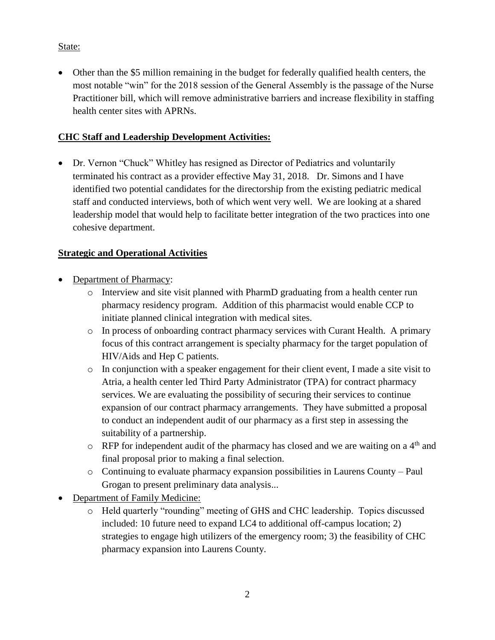State:

 Other than the \$5 million remaining in the budget for federally qualified health centers, the most notable "win" for the 2018 session of the General Assembly is the passage of the Nurse Practitioner bill, which will remove administrative barriers and increase flexibility in staffing health center sites with APRNs.

## **CHC Staff and Leadership Development Activities:**

• Dr. Vernon "Chuck" Whitley has resigned as Director of Pediatrics and voluntarily terminated his contract as a provider effective May 31, 2018. Dr. Simons and I have identified two potential candidates for the directorship from the existing pediatric medical staff and conducted interviews, both of which went very well. We are looking at a shared leadership model that would help to facilitate better integration of the two practices into one cohesive department.

## **Strategic and Operational Activities**

- Department of Pharmacy:
	- o Interview and site visit planned with PharmD graduating from a health center run pharmacy residency program. Addition of this pharmacist would enable CCP to initiate planned clinical integration with medical sites.
	- o In process of onboarding contract pharmacy services with Curant Health. A primary focus of this contract arrangement is specialty pharmacy for the target population of HIV/Aids and Hep C patients.
	- o In conjunction with a speaker engagement for their client event, I made a site visit to Atria, a health center led Third Party Administrator (TPA) for contract pharmacy services. We are evaluating the possibility of securing their services to continue expansion of our contract pharmacy arrangements. They have submitted a proposal to conduct an independent audit of our pharmacy as a first step in assessing the suitability of a partnership.
	- $\circ$  RFP for independent audit of the pharmacy has closed and we are waiting on a 4<sup>th</sup> and final proposal prior to making a final selection.
	- o Continuing to evaluate pharmacy expansion possibilities in Laurens County Paul Grogan to present preliminary data analysis...
- Department of Family Medicine:
	- o Held quarterly "rounding" meeting of GHS and CHC leadership. Topics discussed included: 10 future need to expand LC4 to additional off-campus location; 2) strategies to engage high utilizers of the emergency room; 3) the feasibility of CHC pharmacy expansion into Laurens County.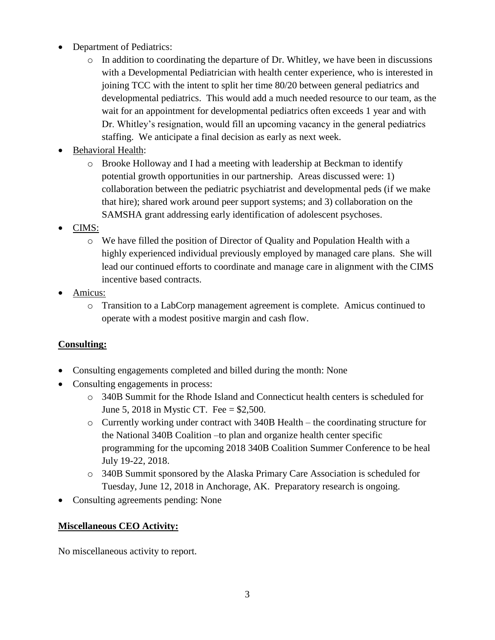- Department of Pediatrics:
	- $\circ$  In addition to coordinating the departure of Dr. Whitley, we have been in discussions with a Developmental Pediatrician with health center experience, who is interested in joining TCC with the intent to split her time 80/20 between general pediatrics and developmental pediatrics. This would add a much needed resource to our team, as the wait for an appointment for developmental pediatrics often exceeds 1 year and with Dr. Whitley's resignation, would fill an upcoming vacancy in the general pediatrics staffing. We anticipate a final decision as early as next week.
- Behavioral Health:
	- o Brooke Holloway and I had a meeting with leadership at Beckman to identify potential growth opportunities in our partnership. Areas discussed were: 1) collaboration between the pediatric psychiatrist and developmental peds (if we make that hire); shared work around peer support systems; and 3) collaboration on the SAMSHA grant addressing early identification of adolescent psychoses.
- CIMS:
	- o We have filled the position of Director of Quality and Population Health with a highly experienced individual previously employed by managed care plans. She will lead our continued efforts to coordinate and manage care in alignment with the CIMS incentive based contracts.
- Amicus:
	- o Transition to a LabCorp management agreement is complete. Amicus continued to operate with a modest positive margin and cash flow.

### **Consulting:**

- Consulting engagements completed and billed during the month: None
- Consulting engagements in process:
	- o 340B Summit for the Rhode Island and Connecticut health centers is scheduled for June 5, 2018 in Mystic CT. Fee = \$2,500.
	- o Currently working under contract with 340B Health the coordinating structure for the National 340B Coalition –to plan and organize health center specific programming for the upcoming 2018 340B Coalition Summer Conference to be heal July 19-22, 2018.
	- o 340B Summit sponsored by the Alaska Primary Care Association is scheduled for Tuesday, June 12, 2018 in Anchorage, AK. Preparatory research is ongoing.
- Consulting agreements pending: None

#### **Miscellaneous CEO Activity:**

No miscellaneous activity to report.